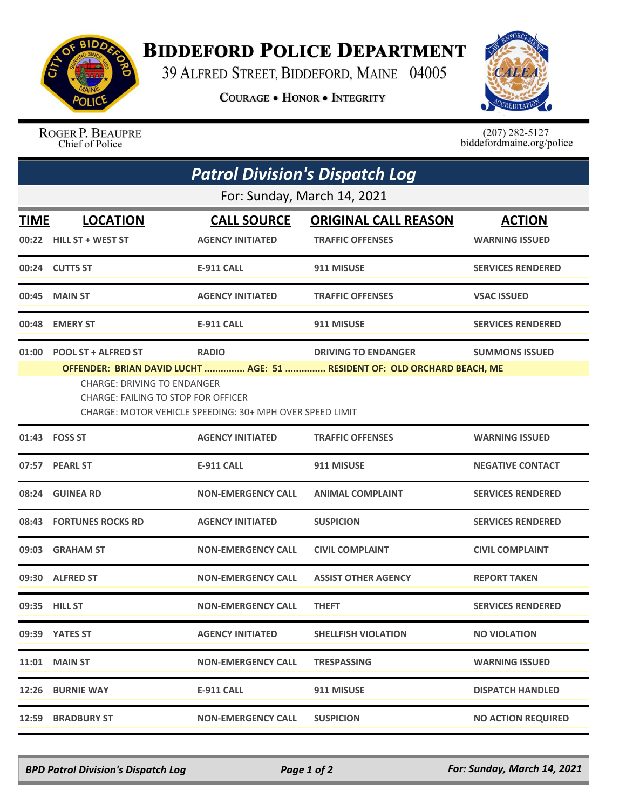

## **BIDDEFORD POLICE DEPARTMENT**

39 ALFRED STREET, BIDDEFORD, MAINE 04005

**COURAGE . HONOR . INTEGRITY** 



ROGER P. BEAUPRE Chief of Police

 $(207)$  282-5127<br>biddefordmaine.org/police

|                             | <b>Patrol Division's Dispatch Log</b>                                                                                                                                                                                                                                                                                        |                                               |                                                        |                                        |  |  |  |
|-----------------------------|------------------------------------------------------------------------------------------------------------------------------------------------------------------------------------------------------------------------------------------------------------------------------------------------------------------------------|-----------------------------------------------|--------------------------------------------------------|----------------------------------------|--|--|--|
| For: Sunday, March 14, 2021 |                                                                                                                                                                                                                                                                                                                              |                                               |                                                        |                                        |  |  |  |
| <b>TIME</b>                 | <b>LOCATION</b><br>00:22 HILL ST + WEST ST                                                                                                                                                                                                                                                                                   | <b>CALL SOURCE</b><br><b>AGENCY INITIATED</b> | <b>ORIGINAL CALL REASON</b><br><b>TRAFFIC OFFENSES</b> | <b>ACTION</b><br><b>WARNING ISSUED</b> |  |  |  |
|                             | 00:24 CUTTS ST                                                                                                                                                                                                                                                                                                               | <b>E-911 CALL</b>                             | 911 MISUSE                                             | <b>SERVICES RENDERED</b>               |  |  |  |
| 00:45                       | <b>MAIN ST</b>                                                                                                                                                                                                                                                                                                               | <b>AGENCY INITIATED</b>                       | <b>TRAFFIC OFFENSES</b>                                | <b>VSAC ISSUED</b>                     |  |  |  |
| 00:48                       | <b>EMERY ST</b>                                                                                                                                                                                                                                                                                                              | <b>E-911 CALL</b>                             | 911 MISUSE                                             | <b>SERVICES RENDERED</b>               |  |  |  |
|                             | 01:00 POOL ST + ALFRED ST<br><b>RADIO</b><br><b>DRIVING TO ENDANGER</b><br><b>SUMMONS ISSUED</b><br>OFFENDER: BRIAN DAVID LUCHT  AGE: 51  RESIDENT OF: OLD ORCHARD BEACH, ME<br><b>CHARGE: DRIVING TO ENDANGER</b><br><b>CHARGE: FAILING TO STOP FOR OFFICER</b><br>CHARGE: MOTOR VEHICLE SPEEDING: 30+ MPH OVER SPEED LIMIT |                                               |                                                        |                                        |  |  |  |
|                             | 01:43    FOSS ST                                                                                                                                                                                                                                                                                                             | <b>AGENCY INITIATED</b>                       | <b>TRAFFIC OFFENSES</b>                                | <b>WARNING ISSUED</b>                  |  |  |  |
|                             | 07:57 PEARL ST                                                                                                                                                                                                                                                                                                               | <b>E-911 CALL</b>                             | 911 MISUSE                                             | <b>NEGATIVE CONTACT</b>                |  |  |  |
| 08:24                       | <b>GUINEA RD</b>                                                                                                                                                                                                                                                                                                             | <b>NON-EMERGENCY CALL</b>                     | <b>ANIMAL COMPLAINT</b>                                | <b>SERVICES RENDERED</b>               |  |  |  |
|                             | 08:43 FORTUNES ROCKS RD                                                                                                                                                                                                                                                                                                      | <b>AGENCY INITIATED</b>                       | <b>SUSPICION</b>                                       | <b>SERVICES RENDERED</b>               |  |  |  |
| 09:03                       | <b>GRAHAM ST</b>                                                                                                                                                                                                                                                                                                             | <b>NON-EMERGENCY CALL</b>                     | <b>CIVIL COMPLAINT</b>                                 | <b>CIVIL COMPLAINT</b>                 |  |  |  |
|                             | 09:30 ALFRED ST                                                                                                                                                                                                                                                                                                              | <b>NON-EMERGENCY CALL</b>                     | <b>ASSIST OTHER AGENCY</b>                             | <b>REPORT TAKEN</b>                    |  |  |  |
|                             | 09:35 HILL ST                                                                                                                                                                                                                                                                                                                | <b>NON-EMERGENCY CALL</b>                     | <b>THEFT</b>                                           | <b>SERVICES RENDERED</b>               |  |  |  |
|                             | 09:39 YATES ST                                                                                                                                                                                                                                                                                                               | <b>AGENCY INITIATED</b>                       | <b>SHELLFISH VIOLATION</b>                             | <b>NO VIOLATION</b>                    |  |  |  |
|                             | <b>11:01 MAIN ST</b>                                                                                                                                                                                                                                                                                                         | <b>NON-EMERGENCY CALL</b>                     | <b>TRESPASSING</b>                                     | <b>WARNING ISSUED</b>                  |  |  |  |
|                             | <b>12:26 BURNIE WAY</b>                                                                                                                                                                                                                                                                                                      | <b>E-911 CALL</b>                             | 911 MISUSE                                             | <b>DISPATCH HANDLED</b>                |  |  |  |
|                             | <b>12:59 BRADBURY ST</b>                                                                                                                                                                                                                                                                                                     | <b>NON-EMERGENCY CALL</b>                     | <b>SUSPICION</b>                                       | <b>NO ACTION REQUIRED</b>              |  |  |  |